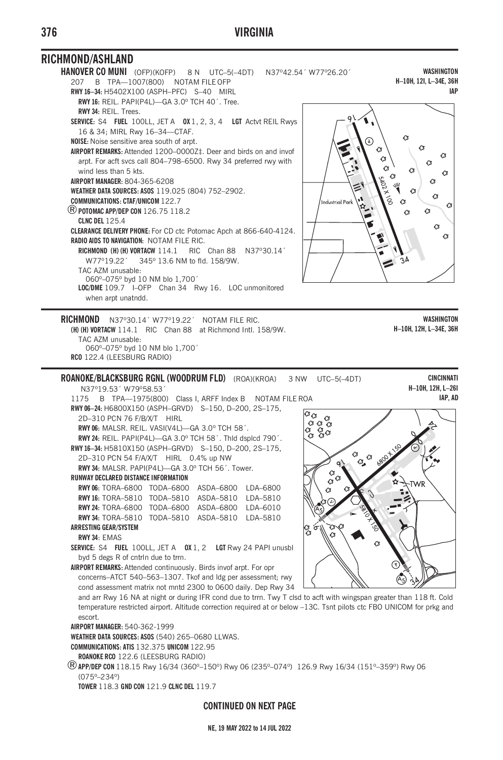## RICHMOND/ASHI AND



## **CONTINUED ON NEXT PAGE**